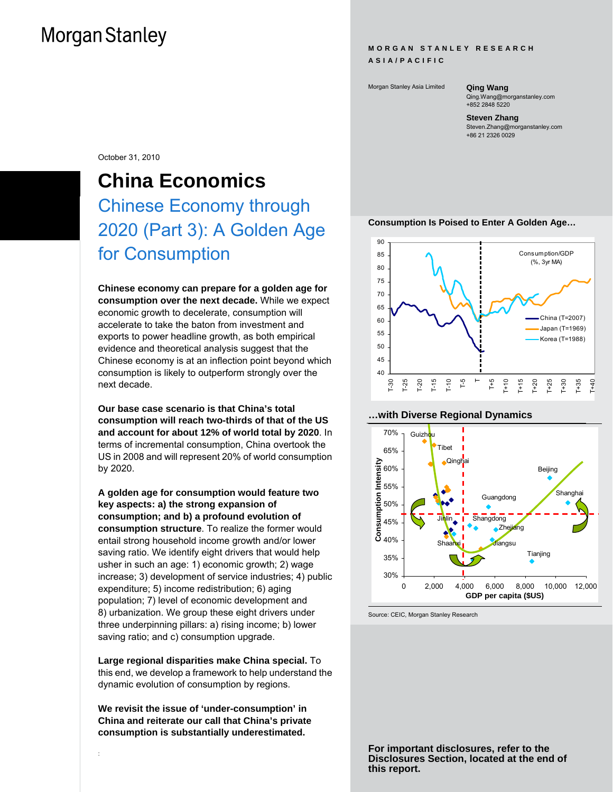#### **MORGAN STANLEY RESEARCH ASIA/PACIFIC**

Morgan Stanley Asia Limited **Qing Wang** 

Qing.Wang@morganstanley.com +852 2848 5220

## **Steven Zhang**

Steven.Zhang@morganstanley.com +86 21 2326 0029

October 31, 2010

## **China Economics**  Chinese Economy through 2020 (Part 3): A Golden Age for Consumption

**Chinese economy can prepare for a golden age for consumption over the next decade.** While we expect economic growth to decelerate, consumption will accelerate to take the baton from investment and exports to power headline growth, as both empirical evidence and theoretical analysis suggest that the Chinese economy is at an inflection point beyond which consumption is likely to outperform strongly over the next decade.

**Our base case scenario is that China's total consumption will reach two-thirds of that of the US and account for about 12% of world total by 2020**. In terms of incremental consumption, China overtook the US in 2008 and will represent 20% of world consumption by 2020.

**A golden age for consumption would feature two key aspects: a) the strong expansion of consumption; and b) a profound evolution of consumption structure**. To realize the former would entail strong household income growth and/or lower saving ratio. We identify eight drivers that would help usher in such an age: 1) economic growth; 2) wage increase; 3) development of service industries; 4) public expenditure; 5) income redistribution; 6) aging population; 7) level of economic development and 8) urbanization. We group these eight drivers under three underpinning pillars: a) rising income; b) lower saving ratio; and c) consumption upgrade.

**Large regional disparities make China special.** To this end, we develop a framework to help understand the dynamic evolution of consumption by regions.

**We revisit the issue of 'under-consumption' in China and reiterate our call that China's private consumption is substantially underestimated.**

:





#### **…with Diverse Regional Dynamics**



Source: CEIC, Morgan Stanley Research

**For important disclosures, refer to the Disclosures Section, located at the end of this report.**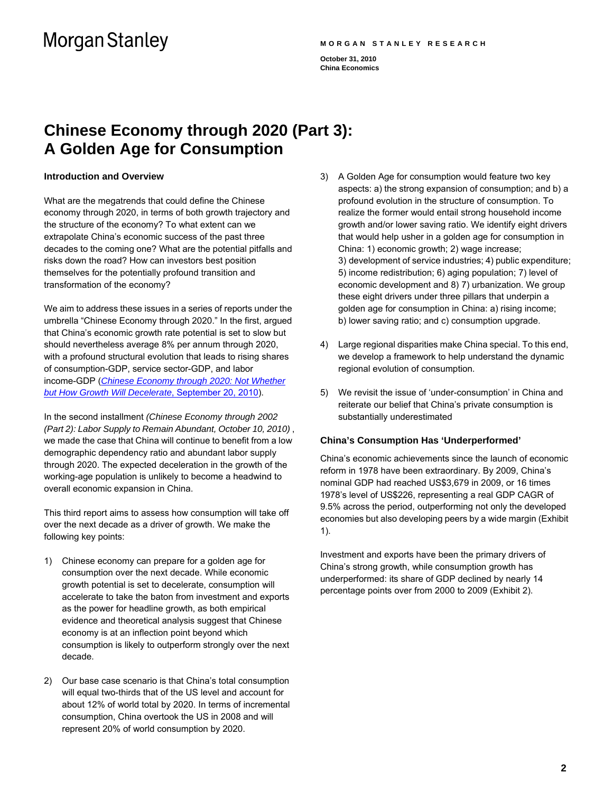#### **MORGAN STANLEY RESEARCH**

**October 31, 2010 China Economics** 

## **Chinese Economy through 2020 (Part 3): A Golden Age for Consumption**

### **Introduction and Overview**

What are the megatrends that could define the Chinese economy through 2020, in terms of both growth trajectory and the structure of the economy? To what extent can we extrapolate China's economic success of the past three decades to the coming one? What are the potential pitfalls and risks down the road? How can investors best position themselves for the potentially profound transition and transformation of the economy?

We aim to address these issues in a series of reports under the umbrella "Chinese Economy through 2020." In the first, argued that China's economic growth rate potential is set to slow but should nevertheless average 8% per annum through 2020, with a profound structural evolution that leads to rising shares of consumption-GDP, service sector-GDP, and labor income-GDP (*[Chinese Economy through 2020: Not Whether](http://linkback.morganstanley.com/web/sendlink/webapp/BMServlet?file=i9qnqik8-3nuq-g000-9890-0025b3a40200&store=0&user=9hwhc2awr4v-0&__gda__=1413534831_17d841af5714ea8bd6c85ee70317dd1e)  [but How Growth Will Decelerate](http://linkback.morganstanley.com/web/sendlink/webapp/BMServlet?file=i9qnqik8-3nuq-g000-9890-0025b3a40200&store=0&user=9hwhc2awr4v-0&__gda__=1413534831_17d841af5714ea8bd6c85ee70317dd1e)*, September 20, 2010).

In the second installment *(Chinese Economy through 2002 (Part 2): Labor Supply to Remain Abundant, October 10, 2010)* , we made the case that China will continue to benefit from a low demographic dependency ratio and abundant labor supply through 2020. The expected deceleration in the growth of the working-age population is unlikely to become a headwind to overall economic expansion in China.

This third report aims to assess how consumption will take off over the next decade as a driver of growth. We make the following key points:

- 1) Chinese economy can prepare for a golden age for consumption over the next decade. While economic growth potential is set to decelerate, consumption will accelerate to take the baton from investment and exports as the power for headline growth, as both empirical evidence and theoretical analysis suggest that Chinese economy is at an inflection point beyond which consumption is likely to outperform strongly over the next decade.
- 2) Our base case scenario is that China's total consumption will equal two-thirds that of the US level and account for about 12% of world total by 2020. In terms of incremental consumption, China overtook the US in 2008 and will represent 20% of world consumption by 2020.
- 3) A Golden Age for consumption would feature two key aspects: a) the strong expansion of consumption; and b) a profound evolution in the structure of consumption. To realize the former would entail strong household income growth and/or lower saving ratio. We identify eight drivers that would help usher in a golden age for consumption in China: 1) economic growth; 2) wage increase; 3) development of service industries; 4) public expenditure; 5) income redistribution; 6) aging population; 7) level of economic development and 8) 7) urbanization. We group these eight drivers under three pillars that underpin a golden age for consumption in China: a) rising income; b) lower saving ratio; and c) consumption upgrade.
- 4) Large regional disparities make China special. To this end, we develop a framework to help understand the dynamic regional evolution of consumption.
- 5) We revisit the issue of 'under-consumption' in China and reiterate our belief that China's private consumption is substantially underestimated

### **China's Consumption Has 'Underperformed'**

China's economic achievements since the launch of economic reform in 1978 have been extraordinary. By 2009, China's nominal GDP had reached US\$3,679 in 2009, or 16 times 1978's level of US\$226, representing a real GDP CAGR of 9.5% across the period, outperforming not only the developed economies but also developing peers by a wide margin (Exhibit 1).

Investment and exports have been the primary drivers of China's strong growth, while consumption growth has underperformed: its share of GDP declined by nearly 14 percentage points over from 2000 to 2009 (Exhibit 2).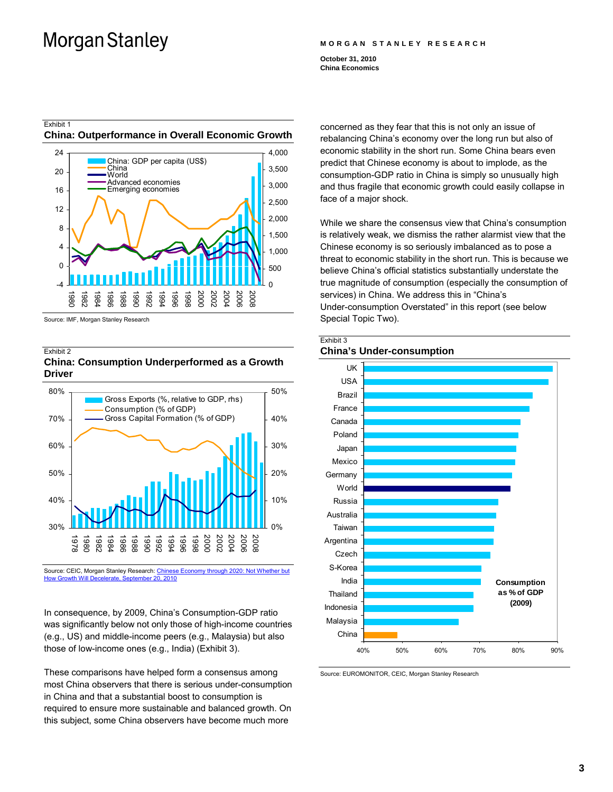#### **MORGAN STANLEY RESEARCH**

**October 31, 2010 China Economics** 

## Exhibit 1 **China: Outperformance in Overall Economic Growth**



Source: IMF, Morgan Stanley Research

#### Exhibit 2 **China: Consumption Underperformed as a Growth Driver**



Source: CEIC, Morgan Stanley Research: [Chinese Economy through 2020: Not Whether but](http://linkback.morganstanley.com/web/sendlink/webapp/BMServlet?file=i9qnqik8-3nuq-g000-9890-0025b3a40200&store=0&user=9hwhc2awr4v-0&__gda__=1413534831_17d841af5714ea8bd6c85ee70317dd1e)  [How Growth Will Decelerate, September 20, 2010](http://linkback.morganstanley.com/web/sendlink/webapp/BMServlet?file=i9qnqik8-3nuq-g000-9890-0025b3a40200&store=0&user=9hwhc2awr4v-0&__gda__=1413534831_17d841af5714ea8bd6c85ee70317dd1e)

In consequence, by 2009, China's Consumption-GDP ratio was significantly below not only those of high-income countries (e.g., US) and middle-income peers (e.g., Malaysia) but also those of low-income ones (e.g., India) (Exhibit 3).

These comparisons have helped form a consensus among most China observers that there is serious under-consumption in China and that a substantial boost to consumption is required to ensure more sustainable and balanced growth. On this subject, some China observers have become much more

concerned as they fear that this is not only an issue of rebalancing China's economy over the long run but also of economic stability in the short run. Some China bears even predict that Chinese economy is about to implode, as the consumption-GDP ratio in China is simply so unusually high and thus fragile that economic growth could easily collapse in face of a major shock.

While we share the consensus view that China's consumption is relatively weak, we dismiss the rather alarmist view that the Chinese economy is so seriously imbalanced as to pose a threat to economic stability in the short run. This is because we believe China's official statistics substantially understate the true magnitude of consumption (especially the consumption of services) in China. We address this in "China's Under-consumption Overstated" in this report (see below Special Topic Two).





Source: EUROMONITOR, CEIC, Morgan Stanley Research

#### **3**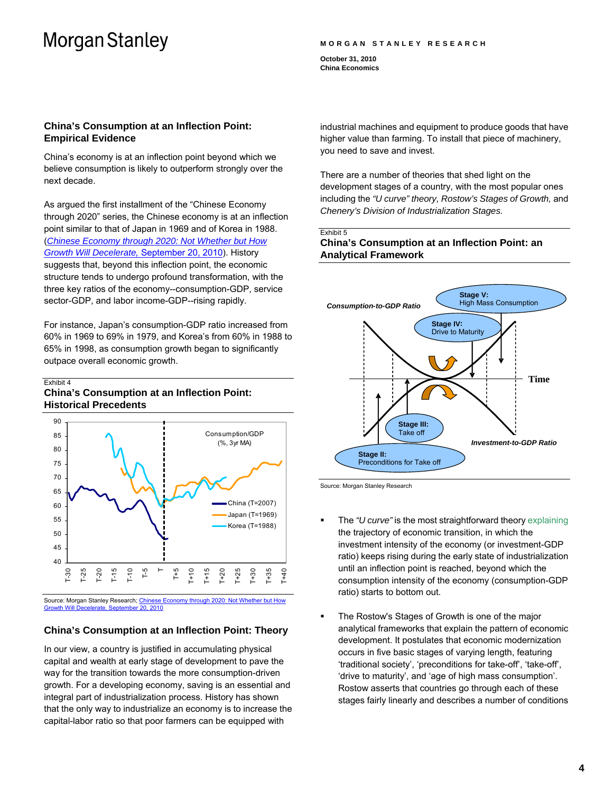#### **MORGAN STANLEY RESEARCH**

**October 31, 2010 China Economics** 

## **China's Consumption at an Inflection Point: Empirical Evidence**

China's economy is at an inflection point beyond which we believe consumption is likely to outperform strongly over the next decade.

As argued the first installment of the "Chinese Economy through 2020" series, the Chinese economy is at an inflection point similar to that of Japan in 1969 and of Korea in 1988. (*[Chinese Economy through 2020: Not Whether but How](http://linkback.morganstanley.com/web/sendlink/webapp/BMServlet?file=i9qnqik8-3nuq-g000-9890-0025b3a40200&store=0&user=9hwhc2awr4v-0&__gda__=1413534831_17d841af5714ea8bd6c85ee70317dd1e) [Growth Will Decelerate,](http://linkback.morganstanley.com/web/sendlink/webapp/BMServlet?file=i9qnqik8-3nuq-g000-9890-0025b3a40200&store=0&user=9hwhc2awr4v-0&__gda__=1413534831_17d841af5714ea8bd6c85ee70317dd1e)* September 20, 2010). History suggests that, beyond this inflection point, the economic structure tends to undergo profound transformation, with the three key ratios of the economy--consumption-GDP, service sector-GDP, and labor income-GDP--rising rapidly.

For instance, Japan's consumption-GDP ratio increased from 60% in 1969 to 69% in 1979, and Korea's from 60% in 1988 to 65% in 1998, as consumption growth began to significantly outpace overall economic growth.

#### Exhibit 4 **China's Consumption at an Inflection Point: Historical Precedents**



Source: Morgan Stanley Research; [Chinese Economy through 2020: Not Whether but How](http://linkback.morganstanley.com/web/sendlink/webapp/BMServlet?file=i9qnqik8-3nuq-g000-9890-0025b3a40200&store=0&user=9hwhc2awr4v-0&__gda__=1413534831_17d841af5714ea8bd6c85ee70317dd1e) [Growth Will Decelerate, September 20, 2010](http://linkback.morganstanley.com/web/sendlink/webapp/BMServlet?file=i9qnqik8-3nuq-g000-9890-0025b3a40200&store=0&user=9hwhc2awr4v-0&__gda__=1413534831_17d841af5714ea8bd6c85ee70317dd1e)

## **China's Consumption at an Inflection Point: Theory**

In our view, a country is justified in accumulating physical capital and wealth at early stage of development to pave the way for the transition towards the more consumption-driven growth. For a developing economy, saving is an essential and integral part of industrialization process. History has shown that the only way to industrialize an economy is to increase the capital-labor ratio so that poor farmers can be equipped with

industrial machines and equipment to produce goods that have higher value than farming. To install that piece of machinery, you need to save and invest.

There are a number of theories that shed light on the development stages of a country, with the most popular ones including the *"U curve" theory, Rostow's Stages of Growth,* and *Chenery's Division of Industrialization Stages.*

#### Exhibit 5 **China's Consumption at an Inflection Point: an Analytical Framework**



Source: Morgan Stanley Research

- The *"U curve"* is the most straightforward theory explaining the trajectory of economic transition, in which the investment intensity of the economy (or investment-GDP ratio) keeps rising during the early state of industrialization until an inflection point is reached, beyond which the consumption intensity of the economy (consumption-GDP ratio) starts to bottom out.
- The Rostow's Stages of Growth is one of the major analytical frameworks that explain the pattern of economic development. It postulates that economic modernization occurs in five basic stages of varying length, featuring 'traditional society', 'preconditions for take-off', 'take-off', 'drive to maturity', and 'age of high mass consumption'. Rostow asserts that countries go through each of these stages fairly linearly and describes a number of conditions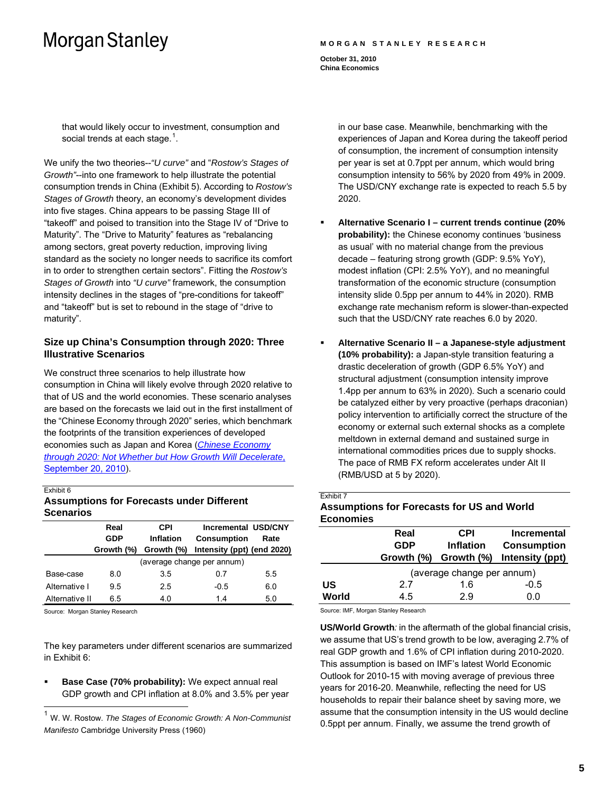#### **MORGAN STANLEY RESEARCH**

**October 31, 2010 China Economics** 

that would likely occur to investment, consumption and social trends at each stage. $^{\rm 1}.$  $^{\rm 1}.$  $^{\rm 1}.$ 

We unify the two theories--*"U curve"* and "*Rostow's Stages of Growth"*--into one framework to help illustrate the potential consumption trends in China (Exhibit 5). According to *Rostow's Stages of Growth* theory, an economy's development divides into five stages. China appears to be passing Stage III of "takeoff" and poised to transition into the Stage IV of "Drive to Maturity". The "Drive to Maturity" features as "rebalancing among sectors, great poverty reduction, improving living standard as the society no longer needs to sacrifice its comfort in to order to strengthen certain sectors". Fitting the *Rostow's Stages of Growth* into *"U curve"* framework, the consumption intensity declines in the stages of "pre-conditions for takeoff" and "takeoff" but is set to rebound in the stage of "drive to maturity".

### **Size up China's Consumption through 2020: Three Illustrative Scenarios**

We construct three scenarios to help illustrate how consumption in China will likely evolve through 2020 relative to that of US and the world economies. These scenario analyses are based on the forecasts we laid out in the first installment of the "Chinese Economy through 2020" series, which benchmark the footprints of the transition experiences of developed economies such as Japan and Korea (*[Chinese Economy](http://linkback.morganstanley.com/web/sendlink/webapp/BMServlet?file=i9qnqik8-3nuq-g000-9890-0025b3a40200&store=0&user=9hwhc2awr4v-0&__gda__=1413534831_17d841af5714ea8bd6c85ee70317dd1e)  [through 2020: Not Whether but How Growth Will Decelerate](http://linkback.morganstanley.com/web/sendlink/webapp/BMServlet?file=i9qnqik8-3nuq-g000-9890-0025b3a40200&store=0&user=9hwhc2awr4v-0&__gda__=1413534831_17d841af5714ea8bd6c85ee70317dd1e)*, [September 20, 2010](http://linkback.morganstanley.com/web/sendlink/webapp/BMServlet?file=i9qnqik8-3nuq-g000-9890-0025b3a40200&store=0&user=9hwhc2awr4v-0&__gda__=1413534831_17d841af5714ea8bd6c85ee70317dd1e)).

#### Exhibit 6

 $\overline{a}$ 

### **Assumptions for Forecasts under Different Scenarios**

|                | Real                       | <b>CPI</b> | <b>Incremental USD/CNY</b> |      |
|----------------|----------------------------|------------|----------------------------|------|
|                | GDP                        | Inflation  | <b>Consumption</b>         | Rate |
|                | Growth (%)                 | Growth (%) | Intensity (ppt) (end 2020) |      |
|                | (average change per annum) |            |                            |      |
| Base-case      | 8.0                        | 3.5        | 0.7                        | 5.5  |
| Alternative I  | 9.5                        | 25         | $-0.5$                     | 6.0  |
| Alternative II | 65                         | 4.0        | 14                         | 5.0  |

Source: Morgan Stanley Research

The key parameters under different scenarios are summarized in Exhibit 6:

 **Base Case (70% probability):** We expect annual real GDP growth and CPI inflation at 8.0% and 3.5% per year

in our base case. Meanwhile, benchmarking with the experiences of Japan and Korea during the takeoff period of consumption, the increment of consumption intensity per year is set at 0.7ppt per annum, which would bring consumption intensity to 56% by 2020 from 49% in 2009. The USD/CNY exchange rate is expected to reach 5.5 by 2020.

- **Alternative Scenario I current trends continue (20% probability):** the Chinese economy continues 'business as usual' with no material change from the previous decade – featuring strong growth (GDP: 9.5% YoY), modest inflation (CPI: 2.5% YoY), and no meaningful transformation of the economic structure (consumption intensity slide 0.5pp per annum to 44% in 2020). RMB exchange rate mechanism reform is slower-than-expected such that the USD/CNY rate reaches 6.0 by 2020.
- **Alternative Scenario II a Japanese-style adjustment (10% probability):** a Japan-style transition featuring a drastic deceleration of growth (GDP 6.5% YoY) and structural adjustment (consumption intensity improve 1.4pp per annum to 63% in 2020). Such a scenario could be catalyzed either by very proactive (perhaps draconian) policy intervention to artificially correct the structure of the economy or external such external shocks as a complete meltdown in external demand and sustained surge in international commodities prices due to supply shocks. The pace of RMB FX reform accelerates under Alt II (RMB/USD at 5 by 2020).

| Exhibit 7                                         |  |
|---------------------------------------------------|--|
| <b>Assumptions for Forecasts for US and World</b> |  |
| <b>Economies</b>                                  |  |

|       | Real                       | CPI              | <b>Incremental</b> |  |
|-------|----------------------------|------------------|--------------------|--|
|       | <b>GDP</b>                 | <b>Inflation</b> | <b>Consumption</b> |  |
|       | Growth (%)                 | Growth (%)       | Intensity (ppt)    |  |
|       | (average change per annum) |                  |                    |  |
| US    | 27                         | 1.6              | $-0.5$             |  |
| World | 4.5                        | 2.9              | 0.O                |  |

Source: IMF, Morgan Stanley Research

**US/World Growth***:* in the aftermath of the global financial crisis, we assume that US's trend growth to be low, averaging 2.7% of real GDP growth and 1.6% of CPI inflation during 2010-2020. This assumption is based on IMF's latest World Economic Outlook for 2010-15 with moving average of previous three years for 2016-20. Meanwhile, reflecting the need for US households to repair their balance sheet by saving more, we assume that the consumption intensity in the US would decline 0.5ppt per annum. Finally, we assume the trend growth of

<span id="page-4-0"></span><sup>1</sup> W. W. Rostow. *The Stages of Economic Growth: A Non-Communist Manifesto* Cambridge University Press (1960)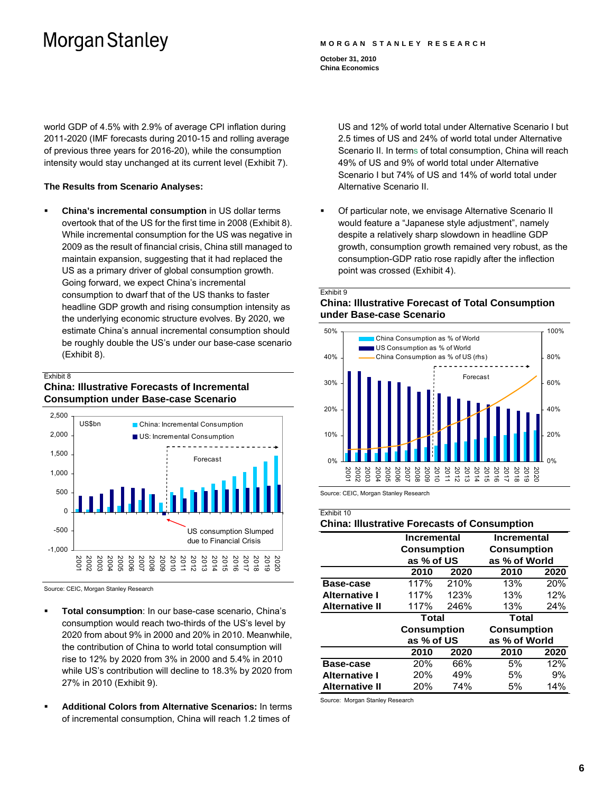#### **MORGAN STANLEY RESEARCH**

**October 31, 2010 China Economics** 

world GDP of 4.5% with 2.9% of average CPI inflation during 2011-2020 (IMF forecasts during 2010-15 and rolling average of previous three years for 2016-20), while the consumption intensity would stay unchanged at its current level (Exhibit 7).

### **The Results from Scenario Analyses:**

 **China's incremental consumption** in US dollar terms overtook that of the US for the first time in 2008 (Exhibit 8). While incremental consumption for the US was negative in 2009 as the result of financial crisis, China still managed to maintain expansion, suggesting that it had replaced the US as a primary driver of global consumption growth. Going forward, we expect China's incremental consumption to dwarf that of the US thanks to faster headline GDP growth and rising consumption intensity as the underlying economic structure evolves. By 2020, we estimate China's annual incremental consumption should be roughly double the US's under our base-case scenario (Exhibit 8).

#### Exhibit 8

## **China: Illustrative Forecasts of Incremental Consumption under Base-case Scenario**



Source: CEIC, Morgan Stanley Research

- **Total consumption**: In our base-case scenario, China's consumption would reach two-thirds of the US's level by 2020 from about 9% in 2000 and 20% in 2010. Meanwhile, the contribution of China to world total consumption will rise to 12% by 2020 from 3% in 2000 and 5.4% in 2010 while US's contribution will decline to 18.3% by 2020 from 27% in 2010 (Exhibit 9).
- **Additional Colors from Alternative Scenarios:** In terms of incremental consumption, China will reach 1.2 times of

US and 12% of world total under Alternative Scenario I but 2.5 times of US and 24% of world total under Alternative Scenario II. In terms of total consumption, China will reach 49% of US and 9% of world total under Alternative Scenario I but 74% of US and 14% of world total under Alternative Scenario II.

 Of particular note, we envisage Alternative Scenario II would feature a "Japanese style adjustment", namely despite a relatively sharp slowdown in headline GDP growth, consumption growth remained very robust, as the consumption-GDP ratio rose rapidly after the inflection point was crossed (Exhibit 4).

Exhibit 0

## **China: Illustrative Forecast of Total Consumption under Base-case Scenario**



Source: CEIC, Morgan Stanley Research

| Exhibit 10                                          |                                                        |                    |                                                    |                    |  |  |
|-----------------------------------------------------|--------------------------------------------------------|--------------------|----------------------------------------------------|--------------------|--|--|
| <b>China: Illustrative Forecasts of Consumption</b> |                                                        |                    |                                                    |                    |  |  |
|                                                     | <b>Incremental</b><br><b>Consumption</b><br>as % of US |                    | Incremental<br><b>Consumption</b><br>as % of World |                    |  |  |
|                                                     |                                                        |                    |                                                    |                    |  |  |
|                                                     |                                                        |                    |                                                    |                    |  |  |
|                                                     | 2010                                                   | 2020               | 2010                                               | 2020               |  |  |
| Base-case                                           | 117%                                                   | 210%               | 13%                                                | 20%                |  |  |
| <b>Alternative I</b>                                | 117%                                                   | 123%               | 13%                                                | 12%                |  |  |
| <b>Alternative II</b>                               | 117%                                                   | 246%               | 13%                                                | 24%                |  |  |
|                                                     | Total                                                  |                    | <b>Total</b>                                       |                    |  |  |
|                                                     |                                                        | <b>Consumption</b> |                                                    | <b>Consumption</b> |  |  |
|                                                     |                                                        | as % of US         |                                                    | as % of World      |  |  |
|                                                     | 2010                                                   | 2020               | 2010                                               | 2020               |  |  |
| Base-case                                           | 20%                                                    | 66%                | 5%                                                 | 12%                |  |  |
| <b>Alternative I</b>                                | <b>20%</b>                                             | 49%                | 5%                                                 | 9%                 |  |  |
| <b>Alternative II</b>                               | <b>20%</b>                                             | 74%                | 5%                                                 | 14%                |  |  |

Source: Morgan Stanley Research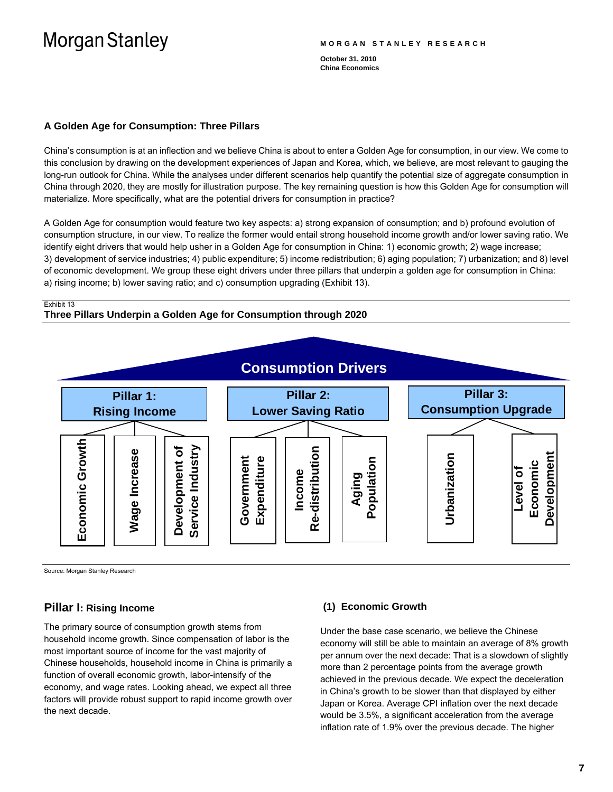#### **MORGAN STANLEY RESEARCH**

**October 31, 2010 China Economics** 

### **A Golden Age for Consumption: Three Pillars**

China's consumption is at an inflection and we believe China is about to enter a Golden Age for consumption, in our view. We come to this conclusion by drawing on the development experiences of Japan and Korea, which, we believe, are most relevant to gauging the long-run outlook for China. While the analyses under different scenarios help quantify the potential size of aggregate consumption in China through 2020, they are mostly for illustration purpose. The key remaining question is how this Golden Age for consumption will materialize. More specifically, what are the potential drivers for consumption in practice?

A Golden Age for consumption would feature two key aspects: a) strong expansion of consumption; and b) profound evolution of consumption structure, in our view. To realize the former would entail strong household income growth and/or lower saving ratio. We identify eight drivers that would help usher in a Golden Age for consumption in China: 1) economic growth; 2) wage increase; 3) development of service industries; 4) public expenditure; 5) income redistribution; 6) aging population; 7) urbanization; and 8) level of economic development. We group these eight drivers under three pillars that underpin a golden age for consumption in China: a) rising income; b) lower saving ratio; and c) consumption upgrading (Exhibit 13).

#### Exhibit 13

## **Three Pillars Underpin a Golden Age for Consumption through 2020**



Source: Morgan Stanley Research

## **Pillar I: Rising Income**

The primary source of consumption growth stems from household income growth. Since compensation of labor is the most important source of income for the vast majority of Chinese households, household income in China is primarily a function of overall economic growth, labor-intensify of the economy, and wage rates. Looking ahead, we expect all three factors will provide robust support to rapid income growth over the next decade.

### **(1) Economic Growth**

Under the base case scenario, we believe the Chinese economy will still be able to maintain an average of 8% growth per annum over the next decade: That is a slowdown of slightly more than 2 percentage points from the average growth achieved in the previous decade. We expect the deceleration in China's growth to be slower than that displayed by either Japan or Korea. Average CPI inflation over the next decade would be 3.5%, a significant acceleration from the average inflation rate of 1.9% over the previous decade. The higher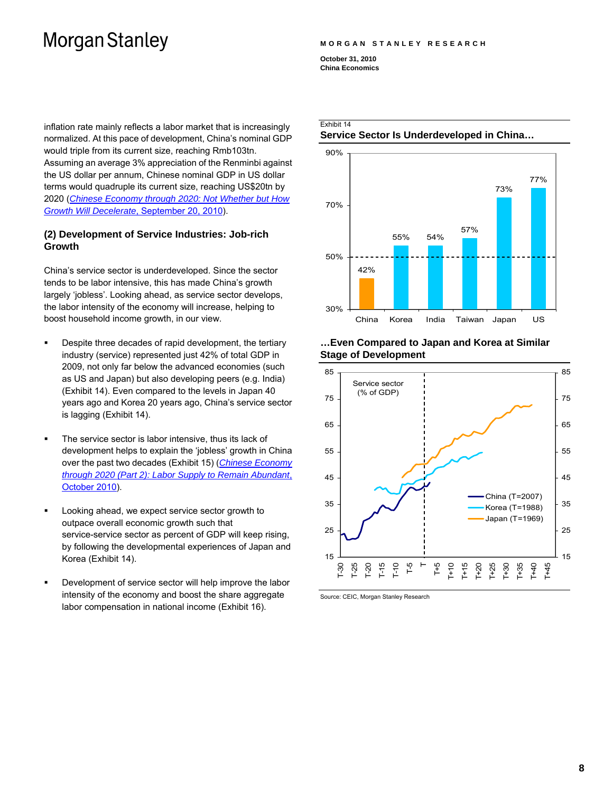inflation rate mainly reflects a labor market that is increasingly normalized. At this pace of development, China's nominal GDP would triple from its current size, reaching Rmb103tn. Assuming an average 3% appreciation of the Renminbi against the US dollar per annum, Chinese nominal GDP in US dollar terms would quadruple its current size, reaching US\$20tn by 2020 (*[Chinese Economy through 2020: Not Whether but How](http://linkback.morganstanley.com/web/sendlink/webapp/BMServlet?file=i9qnqik8-3nuq-g000-9890-0025b3a40200&store=0&user=9hwhc2awr4v-0&__gda__=1413534831_17d841af5714ea8bd6c85ee70317dd1e) [Growth Will Decelerate](http://linkback.morganstanley.com/web/sendlink/webapp/BMServlet?file=i9qnqik8-3nuq-g000-9890-0025b3a40200&store=0&user=9hwhc2awr4v-0&__gda__=1413534831_17d841af5714ea8bd6c85ee70317dd1e)*, September 20, 2010).

### **(2) Development of Service Industries: Job-rich Growth**

China's service sector is underdeveloped. Since the sector tends to be labor intensive, this has made China's growth largely 'jobless'. Looking ahead, as service sector develops, the labor intensity of the economy will increase, helping to boost household income growth, in our view.

- **Despite three decades of rapid development, the tertiary** industry (service) represented just 42% of total GDP in 2009, not only far below the advanced economies (such as US and Japan) but also developing peers (e.g. India) (Exhibit 14). Even compared to the levels in Japan 40 years ago and Korea 20 years ago, China's service sector is lagging (Exhibit 14).
- The service sector is labor intensive, thus its lack of development helps to explain the 'jobless' growth in China over the past two decades (Exhibit 15) (*[Chinese Economy](http://linkback.morganstanley.com/web/sendlink/webapp/BMServlet?file=3s76q6e2-3nv4-g000-b730-002655211300&store=0&user=j2osfc1xpeqp-0&__gda__=1414584778_fab69c8e1e0c36e28f2504dc8ed4b840)  [through 2020 \(Part 2\): Labor Supply to Remain Abundant](http://linkback.morganstanley.com/web/sendlink/webapp/BMServlet?file=3s76q6e2-3nv4-g000-b730-002655211300&store=0&user=j2osfc1xpeqp-0&__gda__=1414584778_fab69c8e1e0c36e28f2504dc8ed4b840)*, [October 2010](http://linkback.morganstanley.com/web/sendlink/webapp/BMServlet?file=3s76q6e2-3nv4-g000-b730-002655211300&store=0&user=j2osfc1xpeqp-0&__gda__=1414584778_fab69c8e1e0c36e28f2504dc8ed4b840)).
- Looking ahead, we expect service sector growth to outpace overall economic growth such that service-service sector as percent of GDP will keep rising, by following the developmental experiences of Japan and Korea (Exhibit 14).
- **•** Development of service sector will help improve the labor intensity of the economy and boost the share aggregate labor compensation in national income (Exhibit 16).

#### **MORGAN STANLEY RESEARCH**

**October 31, 2010 China Economics** 

Exhibit 14



### **…Even Compared to Japan and Korea at Similar Stage of Development**



Source: CEIC, Morgan Stanley Research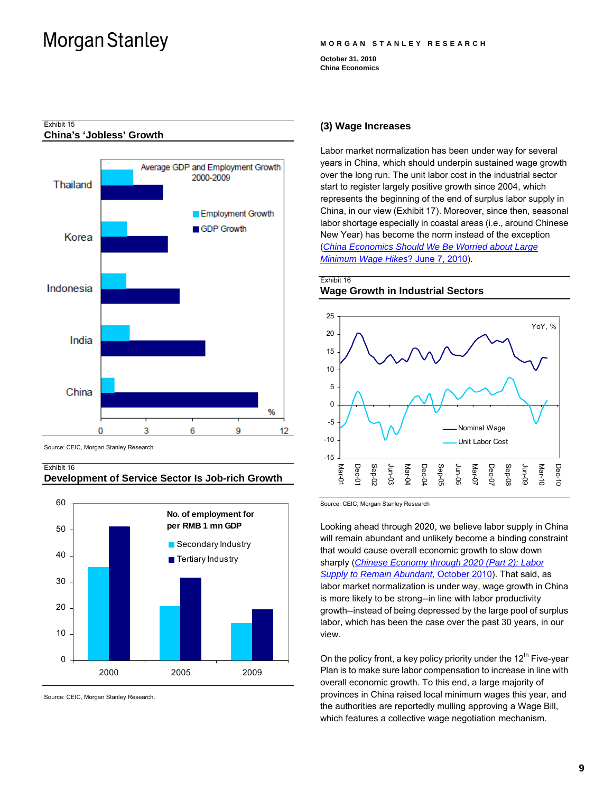#### **MORGAN STANLEY RESEARCH**

**October 31, 2010 China Economics** 



### **China's 'Jobless' Growth**

Exhibit 15

Source: CEIC, Morgan Stanley Research

### Exhibit 16

## **Development of Service Sector Is Job-rich Growth**



Source: CEIC, Morgan Stanley Research.

#### **(3) Wage Increases**

Labor market normalization has been under way for several years in China, which should underpin sustained wage growth over the long run. The unit labor cost in the industrial sector start to register largely positive growth since 2004, which represents the beginning of the end of surplus labor supply in China, in our view (Exhibit 17). Moreover, since then, seasonal labor shortage especially in coastal areas (i.e., around Chinese New Year) has become the norm instead of the exception (*[China Economics Should We Be Worried about Large](http://linkback.morganstanley.com/web/sendlink/webapp/BMServlet?file=3v23r6u8-3nv4-g000-89d1-002655211000&store=0&user=j2osi852tvrt-0&__gda__=1414585083_48d4057cbc987b644499fe443839f7da)  [Minimum Wage Hikes](http://linkback.morganstanley.com/web/sendlink/webapp/BMServlet?file=3v23r6u8-3nv4-g000-89d1-002655211000&store=0&user=j2osi852tvrt-0&__gda__=1414585083_48d4057cbc987b644499fe443839f7da)*? June 7, 2010).

### Exhibit 16 **Wage Growth in Industrial Sectors**



Source: CEIC, Morgan Stanley Research

Looking ahead through 2020, we believe labor supply in China will remain abundant and unlikely become a binding constraint that would cause overall economic growth to slow down sharply (*[Chinese Economy through 2020 \(Part 2\): Labor](http://linkback.morganstanley.com/web/sendlink/webapp/BMServlet?file=3s76q6e2-3nv4-g000-b730-002655211300&store=0&user=j2osfc1xpeqp-0&__gda__=1414584778_fab69c8e1e0c36e28f2504dc8ed4b840)  [Supply to Remain Abundant](http://linkback.morganstanley.com/web/sendlink/webapp/BMServlet?file=3s76q6e2-3nv4-g000-b730-002655211300&store=0&user=j2osfc1xpeqp-0&__gda__=1414584778_fab69c8e1e0c36e28f2504dc8ed4b840)*, October 2010). That said, as labor market normalization is under way, wage growth in China is more likely to be strong--in line with labor productivity growth--instead of being depressed by the large pool of surplus labor, which has been the case over the past 30 years, in our view.

On the policy front, a key policy priority under the  $12<sup>th</sup>$  Five-year Plan is to make sure labor compensation to increase in line with overall economic growth. To this end, a large majority of provinces in China raised local minimum wages this year, and the authorities are reportedly mulling approving a Wage Bill, which features a collective wage negotiation mechanism.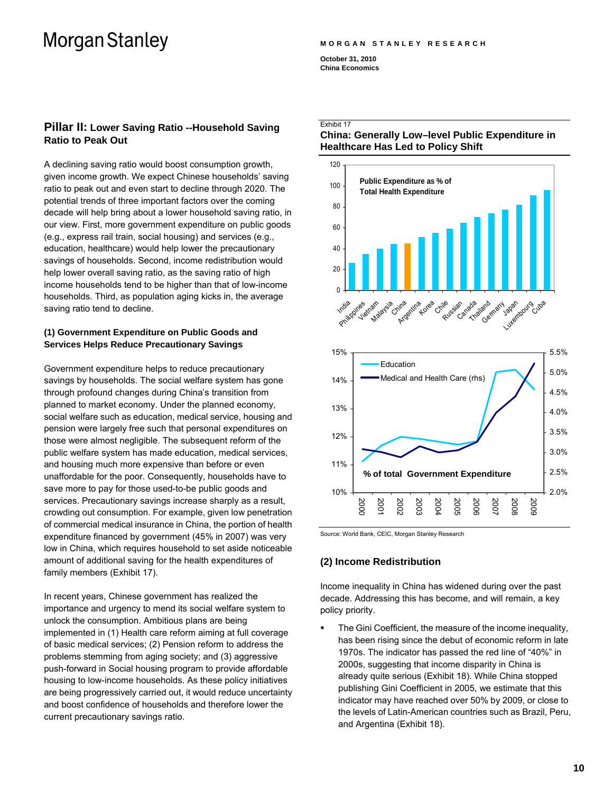#### **MORGAN STANLEY RESEARCH**

**October 31, 2010 China Economics** 

## **Pillar II: Lower Saving Ratio --Household Saving Ratio to Peak Out**

A declining saving ratio would boost consumption growth, given income growth. We expect Chinese households' saving ratio to peak out and even start to decline through 2020. The potential trends of three important factors over the coming decade will help bring about a lower household saving ratio, in our view. First, more government expenditure on public goods (e.g., express rail train, social housing) and services (e.g., education, healthcare) would help lower the precautionary savings of households. Second, income redistribution would help lower overall saving ratio, as the saving ratio of high income households tend to be higher than that of low-income households. Third, as population aging kicks in, the average saving ratio tend to decline.

## **(1) Government Expenditure on Public Goods and Services Helps Reduce Precautionary Savings**

Government expenditure helps to reduce precautionary savings by households. The social welfare system has gone through profound changes during China's transition from planned to market economy. Under the planned economy, social welfare such as education, medical service, housing and pension were largely free such that personal expenditures on those were almost negligible. The subsequent reform of the public welfare system has made education, medical services, and housing much more expensive than before or even unaffordable for the poor. Consequently, households have to save more to pay for those used-to-be public goods and services. Precautionary savings increase sharply as a result, crowding out consumption. For example, given low penetration of commercial medical insurance in China, the portion of health expenditure financed by government (45% in 2007) was very low in China, which requires household to set aside noticeable amount of additional saving for the health expenditures of family members (Exhibit 17).

In recent years, Chinese government has realized the importance and urgency to mend its social welfare system to unlock the consumption. Ambitious plans are being implemented in (1) Health care reform aiming at full coverage of basic medical services; (2) Pension reform to address the problems stemming from aging society; and (3) aggressive push-forward in Social housing program to provide affordable housing to low-income households. As these policy initiatives are being progressively carried out, it would reduce uncertainty and boost confidence of households and therefore lower the current precautionary savings ratio.

## Exhibit 17





Source: World Bank, CEIC, Morgan Stanley Research

## **(2) Income Redistribution**

Income inequality in China has widened during over the past decade. Addressing this has become, and will remain, a key policy priority.

 The Gini Coefficient, the measure of the income inequality, has been rising since the debut of economic reform in late 1970s. The indicator has passed the red line of "40%" in 2000s, suggesting that income disparity in China is already quite serious (Exhibit 18). While China stopped publishing Gini Coefficient in 2005, we estimate that this indicator may have reached over 50% by 2009, or close to the levels of Latin-American countries such as Brazil, Peru, and Argentina (Exhibit 18).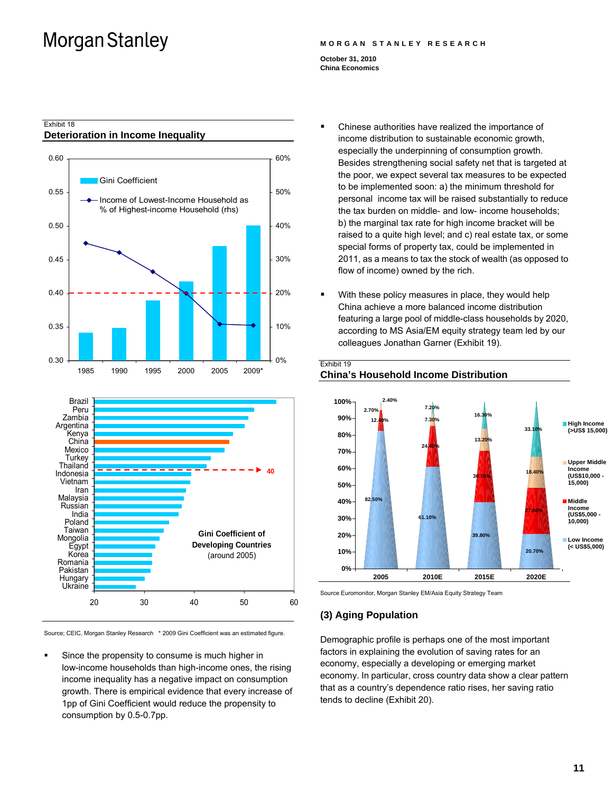#### **MORGAN STANLEY RESEARCH**

**October 31, 2010 China Economics** 

Exhibit 19

### Exhibit 18 **Deterioration in Income Inequality**





Source; CEIC, Morgan Stanley Research \* 2009 Gini Coefficient was an estimated figure.

 Since the propensity to consume is much higher in low-income households than high-income ones, the rising income inequality has a negative impact on consumption growth. There is empirical evidence that every increase of 1pp of Gini Coefficient would reduce the propensity to consumption by 0.5-0.7pp.

- Chinese authorities have realized the importance of income distribution to sustainable economic growth, especially the underpinning of consumption growth. Besides strengthening social safety net that is targeted at the poor, we expect several tax measures to be expected to be implemented soon: a) the minimum threshold for personal income tax will be raised substantially to reduce the tax burden on middle- and low- income households; b) the marginal tax rate for high income bracket will be raised to a quite high level; and c) real estate tax, or some special forms of property tax, could be implemented in 2011, as a means to tax the stock of wealth (as opposed to flow of income) owned by the rich.
- With these policy measures in place, they would help China achieve a more balanced income distribution featuring a large pool of middle-class households by 2020, according to MS Asia/EM equity strategy team led by our colleagues Jonathan Garner (Exhibit 19).



## **China's Household Income Distribution**

Source Euromonitor, Morgan Stanley EM/Asia Equity Strategy Team

### **(3) Aging Population**

Demographic profile is perhaps one of the most important factors in explaining the evolution of saving rates for an economy, especially a developing or emerging market economy. In particular, cross country data show a clear pattern that as a country's dependence ratio rises, her saving ratio tends to decline (Exhibit 20).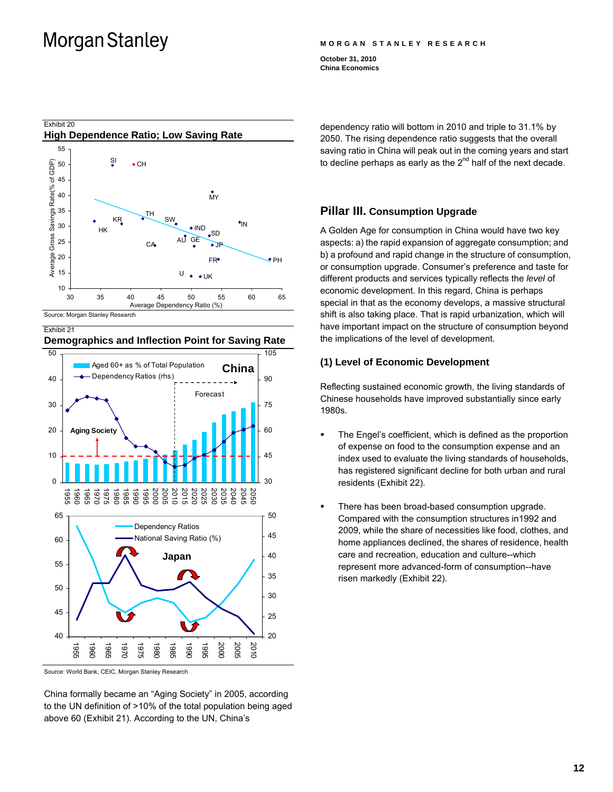#### **MORGAN STANLEY RESEARCH**

**October 31, 2010 China Economics** 



 $\Omega$ 10 20 30 40 50 1986<br>1986<br>1986<br>1988<br>1988 2020<br>2000<br>2000<br>2000 2015 2020<br>2020 2020<br>2020 2020<br>2020 2020  $3<sup>c</sup>$ 45 60 75 90 105 Aged 60+ as % of Total Population Dependency Ratios (rhs) Forecast **Aging Society China** 40 45 50 55  $60$ 65 1955 1960 1965 1970 1975 1980 1985 1990 1995 2000 2005 2010 20 25 30 35 40 45 50 Dependency Ratios National Saving Ratio (%) **Japan**

Source: World Bank, CEIC, Morgan Stanley Research

China formally became an "Aging Society" in 2005, according to the UN definition of >10% of the total population being aged above 60 (Exhibit 21). According to the UN, China's

dependency ratio will bottom in 2010 and triple to 31.1% by 2050. The rising dependence ratio suggests that the overall saving ratio in China will peak out in the coming years and start to decline perhaps as early as the  $2^{nd}$  half of the next decade.

## **Pillar III. Consumption Upgrade**

A Golden Age for consumption in China would have two key aspects: a) the rapid expansion of aggregate consumption; and b) a profound and rapid change in the structure of consumption, or consumption upgrade. Consumer's preference and taste for different products and services typically reflects the *level* of economic development. In this regard, China is perhaps special in that as the economy develops, a massive structural shift is also taking place. That is rapid urbanization, which will have important impact on the structure of consumption beyond the implications of the level of development.

## **(1) Level of Economic Development**

Reflecting sustained economic growth, the living standards of Chinese households have improved substantially since early 1980s.

- The Engel's coefficient, which is defined as the proportion of expense on food to the consumption expense and an index used to evaluate the living standards of households, has registered significant decline for both urban and rural residents (Exhibit 22).
- There has been broad-based consumption upgrade. Compared with the consumption structures in1992 and 2009, while the share of necessities like food, clothes, and home appliances declined, the shares of residence, health care and recreation, education and culture--which represent more advanced-form of consumption--have risen markedly (Exhibit 22).

**Demographics and Inflection Point for Saving Rate**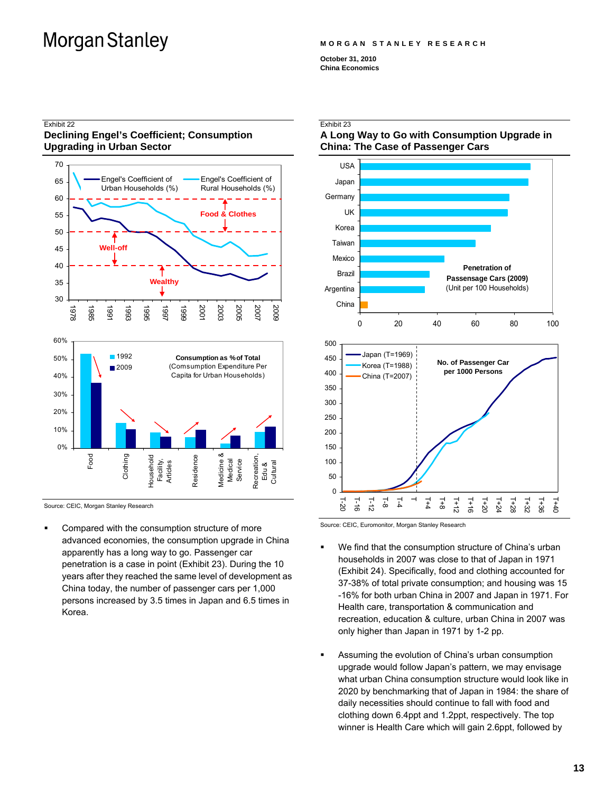#### **MORGAN STANLEY RESEARCH**

**October 31, 2010 China Economics** 

### Exhibit 22 **Declining Engel's Coefficient; Consumption Upgrading in Urban Sector**



Source: CEIC, Morgan Stanley Research

 Compared with the consumption structure of more advanced economies, the consumption upgrade in China apparently has a long way to go. Passenger car penetration is a case in point (Exhibit 23). During the 10 years after they reached the same level of development as China today, the number of passenger cars per 1,000 persons increased by 3.5 times in Japan and 6.5 times in Korea.

### Exhibit 23

### **A Long Way to Go with Consumption Upgrade in China: The Case of Passenger Cars**



Source: CEIC, Euromonitor, Morgan Stanley Research

- We find that the consumption structure of China's urban households in 2007 was close to that of Japan in 1971 (Exhibit 24). Specifically, food and clothing accounted for 37-38% of total private consumption; and housing was 15 -16% for both urban China in 2007 and Japan in 1971. For Health care, transportation & communication and recreation, education & culture, urban China in 2007 was only higher than Japan in 1971 by 1-2 pp.
- Assuming the evolution of China's urban consumption upgrade would follow Japan's pattern, we may envisage what urban China consumption structure would look like in 2020 by benchmarking that of Japan in 1984: the share of daily necessities should continue to fall with food and clothing down 6.4ppt and 1.2ppt, respectively. The top winner is Health Care which will gain 2.6ppt, followed by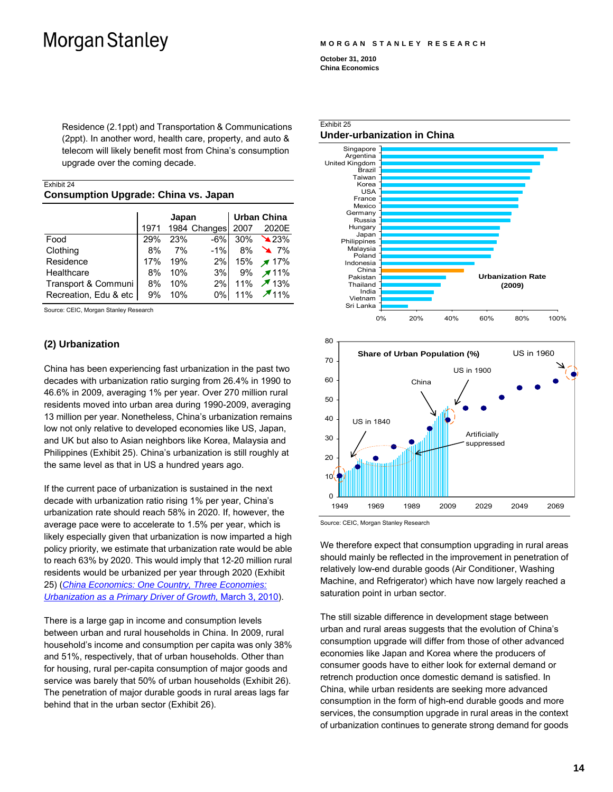Residence (2.1ppt) and Transportation & Communications (2ppt). In another word, health care, property, and auto & telecom will likely benefit most from China's consumption upgrade over the coming decade.

| Exhibit 24                                  |  |
|---------------------------------------------|--|
| <b>Consumption Upgrade: China vs. Japan</b> |  |

|                       | Japan |     | <b>Urban China</b> |     |                             |
|-----------------------|-------|-----|--------------------|-----|-----------------------------|
|                       | 1971  |     | 1984 Changes 2007  |     | 2020E                       |
| Food                  | 29%   | 23% | $-6\%$             |     | $30\% \quad \triangle 23\%$ |
| Clothing              | 8%    | 7%  | $-1\%$             |     | 8% 17%                      |
| Residence             | 17%   | 19% | 2%                 | 15% | $\times$ 17%                |
| Healthcare            | 8%    | 10% | 3%                 | 9%  | $\times$ 11%                |
| Transport & Communi   | 8%    | 10% | 2%                 | 11% | $\times$ 13%                |
| Recreation, Edu & etc | 9%    | 10% | $0\%$              | 11% | $\times$ 11%                |

Source: CEIC, Morgan Stanley Research

## **(2) Urbanization**

China has been experiencing fast urbanization in the past two decades with urbanization ratio surging from 26.4% in 1990 to 46.6% in 2009, averaging 1% per year. Over 270 million rural residents moved into urban area during 1990-2009, averaging 13 million per year. Nonetheless, China's urbanization remains low not only relative to developed economies like US, Japan, and UK but also to Asian neighbors like Korea, Malaysia and Philippines (Exhibit 25). China's urbanization is still roughly at the same level as that in US a hundred years ago.

If the current pace of urbanization is sustained in the next decade with urbanization ratio rising 1% per year, China's urbanization rate should reach 58% in 2020. If, however, the average pace were to accelerate to 1.5% per year, which is likely especially given that urbanization is now imparted a high policy priority, we estimate that urbanization rate would be able to reach 63% by 2020. This would imply that 12-20 million rural residents would be urbanized per year through 2020 (Exhibit 25) (*[China Economics: One Country, Three Economies:](http://linkback.morganstanley.com/web/sendlink/webapp/BMServlet?file=icqkvf1o-3nuq-g000-9890-0025b3a40200&store=0&user=9hwhrutyi5b-0&__gda__=1413535153_fefaac1e072302c564750d92212739f3)  [Urbanization as a Primary Driver of Growth,](http://linkback.morganstanley.com/web/sendlink/webapp/BMServlet?file=icqkvf1o-3nuq-g000-9890-0025b3a40200&store=0&user=9hwhrutyi5b-0&__gda__=1413535153_fefaac1e072302c564750d92212739f3)* March 3, 2010).

There is a large gap in income and consumption levels between urban and rural households in China. In 2009, rural household's income and consumption per capita was only 38% and 51%, respectively, that of urban households. Other than for housing, rural per-capita consumption of major goods and service was barely that 50% of urban households (Exhibit 26). The penetration of major durable goods in rural areas lags far behind that in the urban sector (Exhibit 26).

**MORGAN STANLEY RESEARCH** 

**October 31, 2010 China Economics** 



Source: CEIC, Morgan Stanley Research

We therefore expect that consumption upgrading in rural areas should mainly be reflected in the improvement in penetration of relatively low-end durable goods (Air Conditioner, Washing Machine, and Refrigerator) which have now largely reached a saturation point in urban sector.

The still sizable difference in development stage between urban and rural areas suggests that the evolution of China's consumption upgrade will differ from those of other advanced economies like Japan and Korea where the producers of consumer goods have to either look for external demand or retrench production once domestic demand is satisfied. In China, while urban residents are seeking more advanced consumption in the form of high-end durable goods and more services, the consumption upgrade in rural areas in the context of urbanization continues to generate strong demand for goods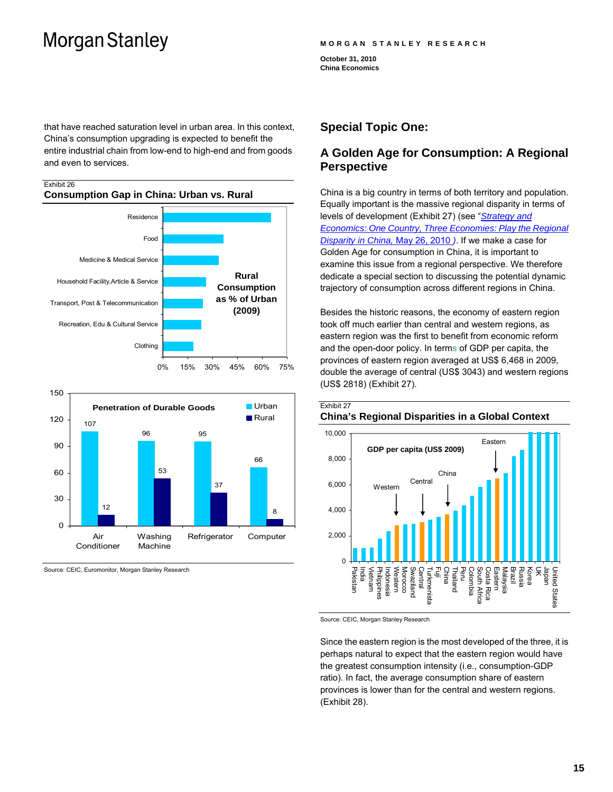Exhibit 26

#### **MORGAN STANLEY RESEARCH**

**October 31, 2010 China Economics** 

that have reached saturation level in urban area. In this context, China's consumption upgrading is expected to benefit the entire industrial chain from low-end to high-end and from goods and even to services.

## **Consumption Gap in China: Urban vs. Rural**  0% 15% 30% 45% 60% 75% Clothing Recreation, Edu & Cultural Service Transport, Post & Telecommunication Household Facility,Article & Service Medicine & Medical Service Food Residence **Rural Consumption as % of Urban (2009)**



Source: CEIC, Euromonitor, Morgan Stanley Research

## **Special Topic One:**

## **A Golden Age for Consumption: A Regional Perspective**

China is a big country in terms of both territory and population. Equally important is the massive regional disparity in terms of levels of development (Exhibit 27) (see "*[Strategy and](http://rlink.ms.com/eqr/rlink/webapp/Research?action=streamFile&docId=753565&docFileType=1&linksrc=rl-res-site&lastParam=/ONECOUNTRY_REC_FINAL.pdf)  [Economics: One Country, Three Economies: Play the Regional](http://rlink.ms.com/eqr/rlink/webapp/Research?action=streamFile&docId=753565&docFileType=1&linksrc=rl-res-site&lastParam=/ONECOUNTRY_REC_FINAL.pdf)  [Disparity in China,](http://rlink.ms.com/eqr/rlink/webapp/Research?action=streamFile&docId=753565&docFileType=1&linksrc=rl-res-site&lastParam=/ONECOUNTRY_REC_FINAL.pdf)* May 26, 2010 *)*. If we make a case for Golden Age for consumption in China, it is important to examine this issue from a regional perspective. We therefore dedicate a special section to discussing the potential dynamic trajectory of consumption across different regions in China.

Besides the historic reasons, the economy of eastern region took off much earlier than central and western regions, as eastern region was the first to benefit from economic reform and the open-door policy. In terms of GDP per capita, the provinces of eastern region averaged at US\$ 6,468 in 2009, double the average of central (US\$ 3043) and western regions (US\$ 2818) (Exhibit 27).



Source: CEIC, Morgan Stanley Research

Since the eastern region is the most developed of the three, it is perhaps natural to expect that the eastern region would have the greatest consumption intensity (i.e., consumption-GDP ratio). In fact, the average consumption share of eastern provinces is lower than for the central and western regions. (Exhibit 28).

### **15**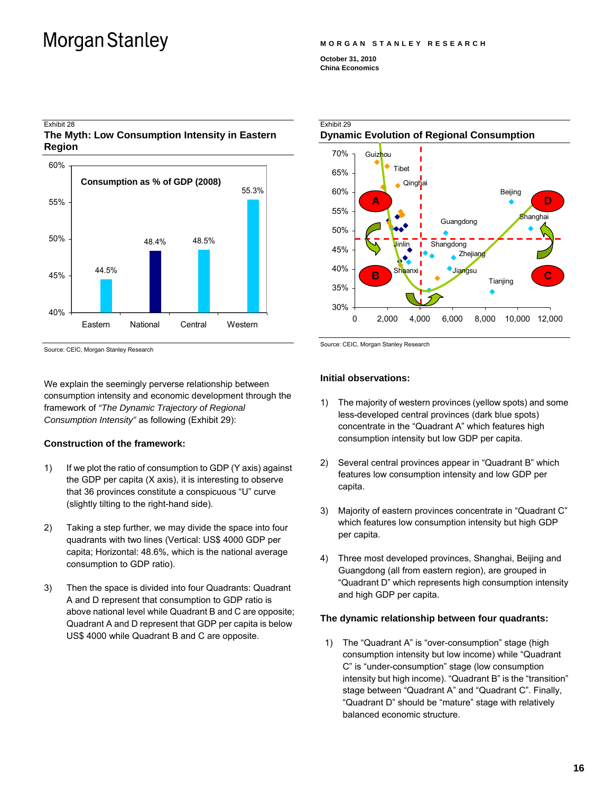Exhibit 28

#### **MORGAN STANLEY RESEARCH**

**October 31, 2010 China Economics** 



Source: CEIC, Morgan Stanley Research

We explain the seemingly perverse relationship between consumption intensity and economic development through the framework of *"The Dynamic Trajectory of Regional Consumption Intensity"* as following (Exhibit 29):

#### **Construction of the framework:**

- 1) If we plot the ratio of consumption to GDP (Y axis) against the GDP per capita (X axis), it is interesting to observe that 36 provinces constitute a conspicuous "U" curve (slightly tilting to the right-hand side).
- 2) Taking a step further, we may divide the space into four quadrants with two lines (Vertical: US\$ 4000 GDP per capita; Horizontal: 48.6%, which is the national average consumption to GDP ratio).
- 3) Then the space is divided into four Quadrants: Quadrant A and D represent that consumption to GDP ratio is above national level while Quadrant B and C are opposite; Quadrant A and D represent that GDP per capita is below US\$ 4000 while Quadrant B and C are opposite.



Source: CEIC, Morgan Stanley Research

#### **Initial observations:**

- 1) The majority of western provinces (yellow spots) and some less-developed central provinces (dark blue spots) concentrate in the "Quadrant A" which features high consumption intensity but low GDP per capita.
- 2) Several central provinces appear in "Quadrant B" which features low consumption intensity and low GDP per capita.
- 3) Majority of eastern provinces concentrate in "Quadrant C" which features low consumption intensity but high GDP per capita.
- 4) Three most developed provinces, Shanghai, Beijing and Guangdong (all from eastern region), are grouped in "Quadrant D" which represents high consumption intensity and high GDP per capita.

#### **The dynamic relationship between four quadrants:**

1) The "Quadrant A" is "over-consumption" stage (high consumption intensity but low income) while "Quadrant C" is "under-consumption" stage (low consumption intensity but high income). "Quadrant B" is the "transition" stage between "Quadrant A" and "Quadrant C". Finally, "Quadrant D" should be "mature" stage with relatively balanced economic structure.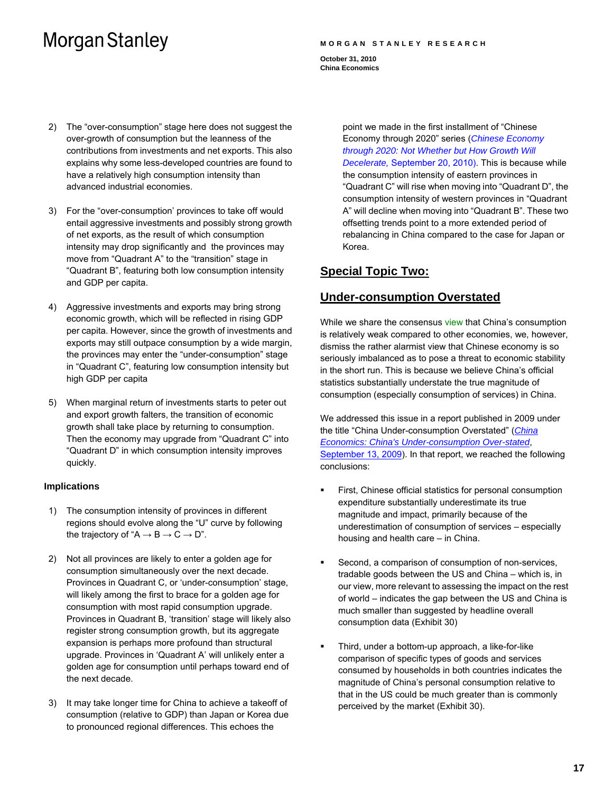#### **MORGAN STANLEY RESEARCH**

**October 31, 2010 China Economics** 

- 2) The "over-consumption" stage here does not suggest the over-growth of consumption but the leanness of the contributions from investments and net exports. This also explains why some less-developed countries are found to have a relatively high consumption intensity than advanced industrial economies.
- 3) For the "over-consumption' provinces to take off would entail aggressive investments and possibly strong growth of net exports, as the result of which consumption intensity may drop significantly and the provinces may move from "Quadrant A" to the "transition" stage in "Quadrant B", featuring both low consumption intensity and GDP per capita.
- 4) Aggressive investments and exports may bring strong economic growth, which will be reflected in rising GDP per capita. However, since the growth of investments and exports may still outpace consumption by a wide margin, the provinces may enter the "under-consumption" stage in "Quadrant C", featuring low consumption intensity but high GDP per capita
- 5) When marginal return of investments starts to peter out and export growth falters, the transition of economic growth shall take place by returning to consumption. Then the economy may upgrade from "Quadrant C" into "Quadrant D" in which consumption intensity improves quickly.

### **Implications**

- 1) The consumption intensity of provinces in different regions should evolve along the "U" curve by following the trajectory of " $A \rightarrow B \rightarrow C \rightarrow D$ ".
- 2) Not all provinces are likely to enter a golden age for consumption simultaneously over the next decade. Provinces in Quadrant C, or 'under-consumption' stage, will likely among the first to brace for a golden age for consumption with most rapid consumption upgrade. Provinces in Quadrant B, 'transition' stage will likely also register strong consumption growth, but its aggregate expansion is perhaps more profound than structural upgrade. Provinces in 'Quadrant A' will unlikely enter a golden age for consumption until perhaps toward end of the next decade.
- 3) It may take longer time for China to achieve a takeoff of consumption (relative to GDP) than Japan or Korea due to pronounced regional differences. This echoes the

point we made in the first installment of "Chinese Economy through 2020" series (*[Chinese Economy](http://linkback.morganstanley.com/web/sendlink/webapp/BMServlet?file=i9qnqik8-3nuq-g000-9890-0025b3a40200&store=0&user=9hwhc2awr4v-0&__gda__=1413534831_17d841af5714ea8bd6c85ee70317dd1e)  [through 2020: Not Whether but How Growth Will](http://linkback.morganstanley.com/web/sendlink/webapp/BMServlet?file=i9qnqik8-3nuq-g000-9890-0025b3a40200&store=0&user=9hwhc2awr4v-0&__gda__=1413534831_17d841af5714ea8bd6c85ee70317dd1e)  Decelerate,* [September 20, 2010\)](http://linkback.morganstanley.com/web/sendlink/webapp/BMServlet?file=i9qnqik8-3nuq-g000-9890-0025b3a40200&store=0&user=9hwhc2awr4v-0&__gda__=1413534831_17d841af5714ea8bd6c85ee70317dd1e). This is because while the consumption intensity of eastern provinces in "Quadrant C" will rise when moving into "Quadrant D", the consumption intensity of western provinces in "Quadrant A" will decline when moving into "Quadrant B". These two offsetting trends point to a more extended period of rebalancing in China compared to the case for Japan or Korea.

## **Special Topic Two:**

## **Under-consumption Overstated**

While we share the consensus view that China's consumption is relatively weak compared to other economies, we, however, dismiss the rather alarmist view that Chinese economy is so seriously imbalanced as to pose a threat to economic stability in the short run. This is because we believe China's official statistics substantially understate the true magnitude of consumption (especially consumption of services) in China.

We addressed this issue in a report published in 2009 under the title "China Under-consumption Overstated" (*[China](http://rlink.ms.com/eqr/rlink/webapp/Research?action=streamFile&docId=772031&docFileType=1&linksrc=rl-res-site&lastParam=/CHINAUNDERCONSUMPTION.pdf)  [Economics: China's Under-consumption Over-stated](http://rlink.ms.com/eqr/rlink/webapp/Research?action=streamFile&docId=772031&docFileType=1&linksrc=rl-res-site&lastParam=/CHINAUNDERCONSUMPTION.pdf)*, September 13, 2009). In that report, we reached the following conclusions:

- First, Chinese official statistics for personal consumption expenditure substantially underestimate its true magnitude and impact, primarily because of the underestimation of consumption of services – especially housing and health care – in China.
- Second, a comparison of consumption of non-services, tradable goods between the US and China – which is, in our view, more relevant to assessing the impact on the rest of world – indicates the gap between the US and China is much smaller than suggested by headline overall consumption data (Exhibit 30)
- Third, under a bottom-up approach, a like-for-like comparison of specific types of goods and services consumed by households in both countries indicates the magnitude of China's personal consumption relative to that in the US could be much greater than is commonly perceived by the market (Exhibit 30).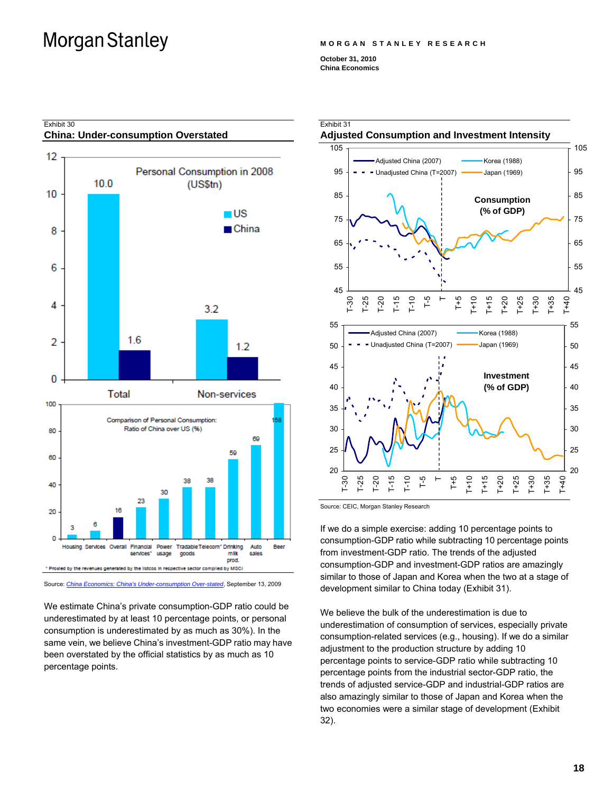#### **MORGAN STANLEY RESEARCH**

**October 31, 2010 China Economics** 



Source: *[China Economics: China's Under-consumption Over-stated](http://rlink.ms.com/eqr/rlink/webapp/Research?action=streamFile&docId=772031&docFileType=1&linksrc=rl-res-site&lastParam=/CHINAUNDERCONSUMPTION.pdf)*, September 13, 2009

We estimate China's private consumption-GDP ratio could be underestimated by at least 10 percentage points, or personal consumption is underestimated by as much as 30%). In the same vein, we believe China's investment-GDP ratio may have been overstated by the official statistics by as much as 10 percentage points.



Source: CEIC, Morgan Stanley Research

If we do a simple exercise: adding 10 percentage points to consumption-GDP ratio while subtracting 10 percentage points from investment-GDP ratio. The trends of the adjusted consumption-GDP and investment-GDP ratios are amazingly similar to those of Japan and Korea when the two at a stage of development similar to China today (Exhibit 31).

We believe the bulk of the underestimation is due to underestimation of consumption of services, especially private consumption-related services (e.g., housing). If we do a similar adjustment to the production structure by adding 10 percentage points to service-GDP ratio while subtracting 10 percentage points from the industrial sector-GDP ratio, the trends of adjusted service-GDP and industrial-GDP ratios are also amazingly similar to those of Japan and Korea when the two economies were a similar stage of development (Exhibit 32).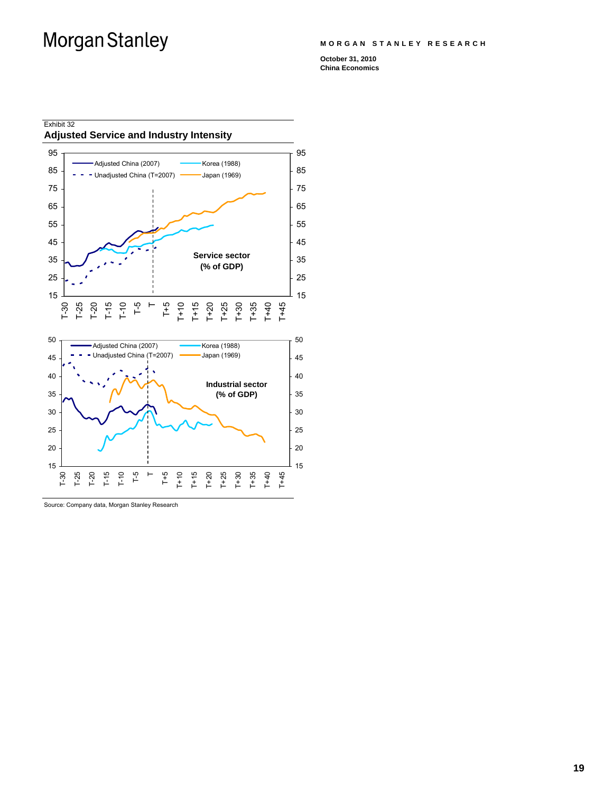#### **MORGAN STANLEY RESEARCH**

**October 31, 2010 China Economics** 



Source: Company data, Morgan Stanley Research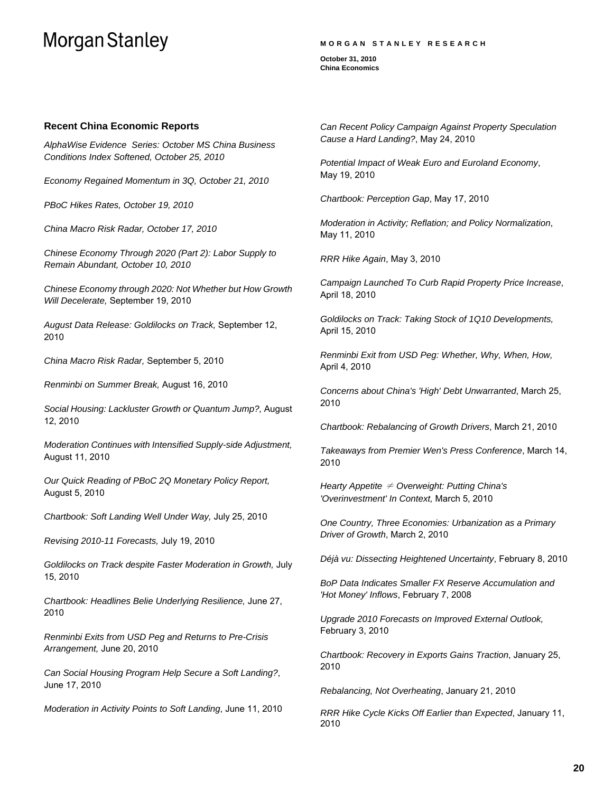#### **MORGAN STANLEY RESEARCH**

**October 31, 2010 China Economics** 

#### **Recent China Economic Reports**

*AlphaWise Evidence Series: October MS China Business Conditions Index Softened, October 25, 2010* 

*Economy Regained Momentum in 3Q, October 21, 2010* 

*PBoC Hikes Rates, October 19, 2010* 

*China Macro Risk Radar, October 17, 2010*

*Chinese Economy Through 2020 (Part 2): Labor Supply to Remain Abundant, October 10, 2010*

*Chinese Economy through 2020: Not Whether but How Growth Will Decelerate,* September 19, 2010

*August Data Release: Goldilocks on Track,* September 12, 2010

*China Macro Risk Radar,* September 5, 2010

*Renminbi on Summer Break,* August 16, 2010

*Social Housing: Lackluster Growth or Quantum Jump?,* August 12, 2010

*Moderation Continues with Intensified Supply-side Adjustment,*  August 11, 2010

*Our Quick Reading of PBoC 2Q Monetary Policy Report,*  August 5, 2010

*Chartbook: Soft Landing Well Under Way,* July 25, 2010

*Revising 2010-11 Forecasts,* July 19, 2010

*Goldilocks on Track despite Faster Moderation in Growth,* July 15, 2010

*Chartbook: Headlines Belie Underlying Resilience,* June 27, 2010

*Renminbi Exits from USD Peg and Returns to Pre-Crisis Arrangement,* June 20, 2010

*Can Social Housing Program Help Secure a Soft Landing?*, June 17, 2010

*Moderation in Activity Points to Soft Landing*, June 11, 2010

*Can Recent Policy Campaign Against Property Speculation Cause a Hard Landing?*, May 24, 2010

*Potential Impact of Weak Euro and Euroland Economy*, May 19, 2010

*Chartbook: Perception Gap*, May 17, 2010

*Moderation in Activity; Reflation; and Policy Normalization*, May 11, 2010

*RRR Hike Again*, May 3, 2010

*Campaign Launched To Curb Rapid Property Price Increase*, April 18, 2010

*Goldilocks on Track: Taking Stock of 1Q10 Developments,* April 15, 2010

*Renminbi Exit from USD Peg: Whether, Why, When, How,* April 4, 2010

*Concerns about China's 'High' Debt Unwarranted*, March 25, 2010

*Chartbook: Rebalancing of Growth Drivers*, March 21, 2010

*Takeaways from Premier Wen's Press Conference*, March 14, 2010

*Hearty Appetite* ≠ *Overweight: Putting China's 'Overinvestment' In Context,* March 5, 2010

*One Country, Three Economies: Urbanization as a Primary Driver of Growth*, March 2, 2010

*Déjà vu: Dissecting Heightened Uncertainty*, February 8, 2010

*BoP Data Indicates Smaller FX Reserve Accumulation and 'Hot Money' Inflows*, February 7, 2008

*Upgrade 2010 Forecasts on Improved External Outlook,*  February 3, 2010

*Chartbook: Recovery in Exports Gains Traction*, January 25, 2010

*Rebalancing, Not Overheating*, January 21, 2010

*RRR Hike Cycle Kicks Off Earlier than Expected*, January 11, 2010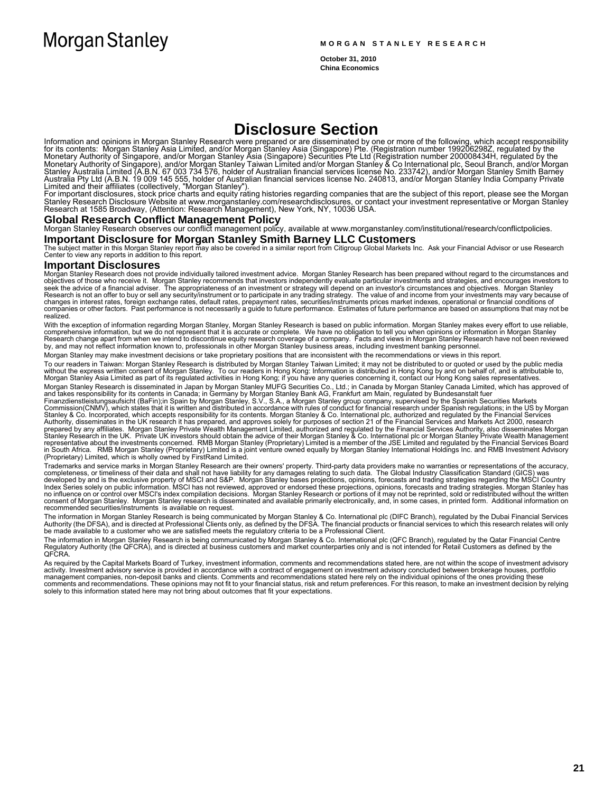**October 31, 2010 China Economics** 

## **Disclosure Section**

Information and opinions in Morgan Stanley Research were prepared or are disseminated by one or more of the following, which accept responsibility<br>for its contents: Morgan Stanley Asia Limited, and/or Morgan Stanley Asia (

#### **Global Research Conflict Management Policy**

Morgan Stanley Research observes our conflict management policy, available at www.morganstanley.com/institutional/research/conflictpolicies.

**Important Disclosure for Morgan Stanley Smith Barney LLC Customers**<br>The subject matter in this Morgan Stanley report may also be covered in a similar report from Citigroup Global Markets Inc. Ask your Financial Advisor or

#### **Important Disclosures**

Morgan Stanley Research does not provide individually tailored investment advice. Morgan Stanley Research has been prepared without regard to the circumstances and<br>objectives of those who receive it. Morgan Stanley recom Research is not an offer to buy or sell any security/instrument or to participate in any trading strategy. The value of and income from your investments may vary because of<br>changes in interest rates, foreign exchange rates realized.

With the exception of information regarding Morgan Stanley, Morgan Stanley Research is based on public information. Morgan Stanley makes every effort to use reliable,<br>Comprehensive information, but we do not represent that

Morgan Stanley may make investment decisions or take proprietary positions that are inconsistent with the recommendations or views in this report.

To our readers in Taiwan: Morgan Stanley Research is distributed by Morgan Stanley Taiwan Limited; it may not be distributed to or quoted or used by the public media without the express written consent of Morgan Stanley. To our readers in Hong Kong: Information is distributed in Hong Kong by and on behalf of, and is attributable to,<br>Morgan Stanley Asia Limited as part of its regulated

Morgan Stanley Research is disseminated in Japan by Morgan Stanley MUFG Securities Co., Ltd.; in Canada by Morgan Stanley Canada Limited, which has approved of<br>and takes responsibility for its contents in Canada; in German

Trademarks and service marks in Morgan Stanley Research are their owners' property. Third-party data providers make no warranties or representations of the accuracy,<br>completeness, or timeliness of their data and shall into Index Series solely on public information. MSCI has not reviewed, approved or endorsed these projections, opinions, forecasts and trading strategies. Morgan Stanley has<br>no influence on or control over MSCI's index compilat recommended securities/instruments is available on request.

The information in Morgan Stanley Research is being communicated by Morgan Stanley & Co. International plc (DIFC Branch), regulated by the Dubai Financial Services<br>Authority (the DFSA), and is directed at Professional Clie

The information in Morgan Stanley Research is being communicated by Morgan Stanley & Co. International plc (QFC Branch), regulated by the Qatar Financial Centre<br>Regulatory Authority (the QFCRA), and is directed at business

As required by the Capital Markets Board of Turkey, investment information, comments and recommendations stated here, are not within the scope of investment advisory<br>activity. Investment advisory service is provided in acc management companies, non-deposit banks and clients. Comments and recommendations stated here rely on the individual opinions of the ones providing these<br>comments and recommendations. These opinions may not fit to your fin